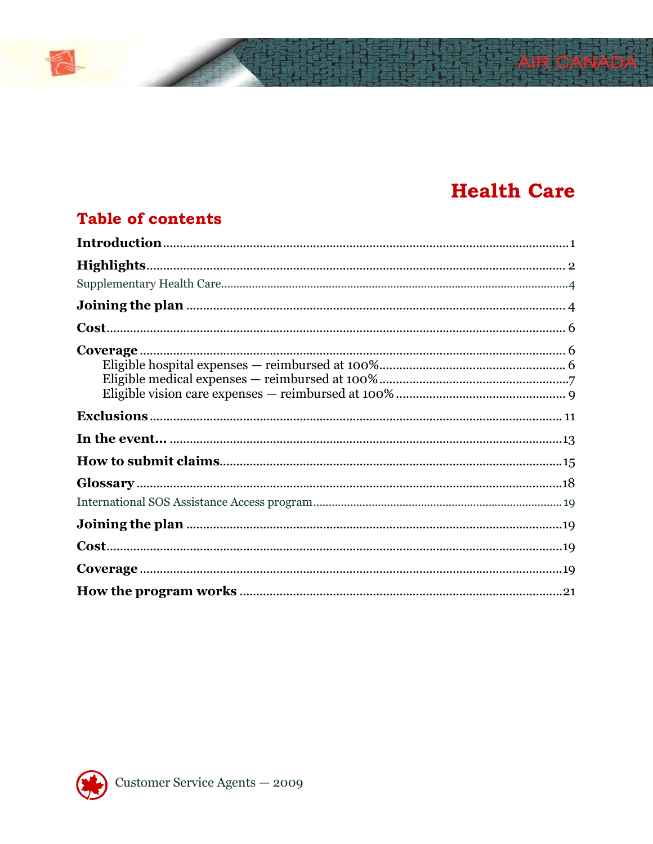# **Health Care**

## **Table of contents**

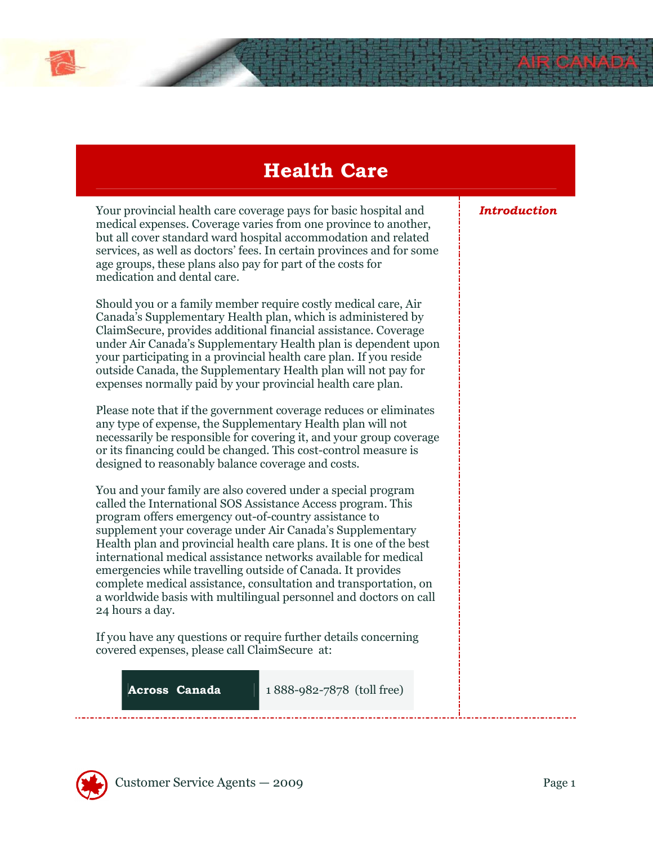# Health Care

Your provincial health care coverage pays for basic hospital and medical expenses. Coverage varies from one province to another, but all cover standard ward hospital accommodation and related services, as well as doctors' fees. In certain provinces and for some age groups, these plans also pay for part of the costs for medication and dental care.

Should you or a family member require costly medical care, Air Canada's Supplementary Health plan, which is administered by ClaimSecure, provides additional financial assistance. Coverage under Air Canada's Supplementary Health plan is dependent upon your participating in a provincial health care plan. If you reside outside Canada, the Supplementary Health plan will not pay for expenses normally paid by your provincial health care plan.

Please note that if the government coverage reduces or eliminates any type of expense, the Supplementary Health plan will not necessarily be responsible for covering it, and your group coverage or its financing could be changed. This cost-control measure is designed to reasonably balance coverage and costs.

You and your family are also covered under a special program called the International SOS Assistance Access program. This program offers emergency out-of-country assistance to supplement your coverage under Air Canada's Supplementary Health plan and provincial health care plans. It is one of the best international medical assistance networks available for medical emergencies while travelling outside of Canada. It provides complete medical assistance, consultation and transportation, on a worldwide basis with multilingual personnel and doctors on call 24 hours a day.

If you have any questions or require further details concerning covered expenses, please call ClaimSecure at:

**Across Canada** 1 888-982-7878 (toll free)

**Introduction** 

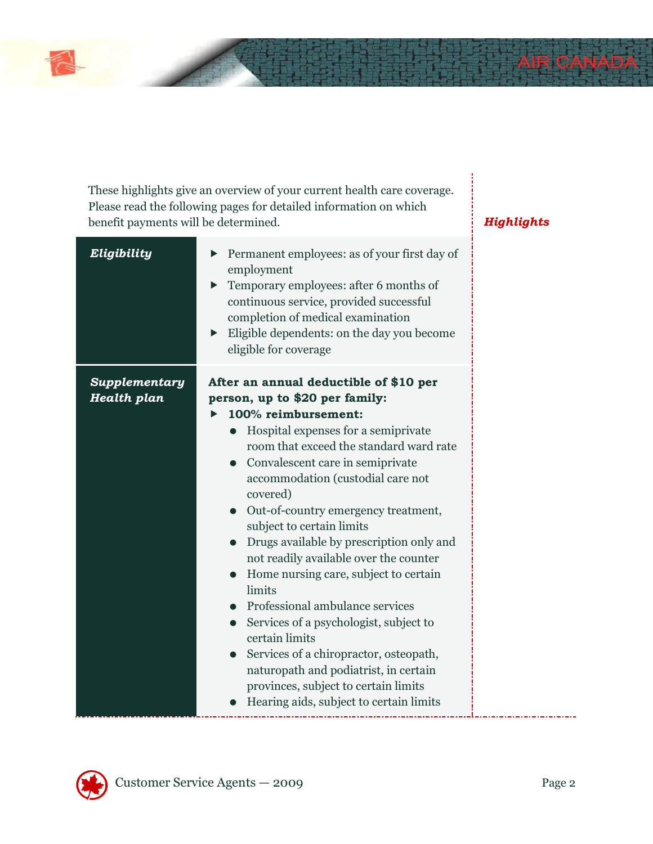These highlights give an overview of your current health care coverage. Please read the following pages for detailed information on which benefit payments will be determined. Highlights

| Eligibility                         | Permanent employees: as of your first day of<br>employment<br>Temporary employees: after 6 months of<br>▶<br>continuous service, provided successful<br>completion of medical examination<br>Eligible dependents: on the day you become<br>$\blacktriangleright$<br>eligible for coverage                                                                                                                                                                                                                                                                                                                                                                                                                                                                                                             |  |
|-------------------------------------|-------------------------------------------------------------------------------------------------------------------------------------------------------------------------------------------------------------------------------------------------------------------------------------------------------------------------------------------------------------------------------------------------------------------------------------------------------------------------------------------------------------------------------------------------------------------------------------------------------------------------------------------------------------------------------------------------------------------------------------------------------------------------------------------------------|--|
| Supplementary<br><b>Health plan</b> | After an annual deductible of \$10 per<br>person, up to \$20 per family:<br>100% reimbursement:<br>• Hospital expenses for a semiprivate<br>room that exceed the standard ward rate<br>• Convalescent care in semiprivate<br>accommodation (custodial care not<br>covered)<br>Out-of-country emergency treatment,<br>subject to certain limits<br>Drugs available by prescription only and<br>$\bullet$<br>not readily available over the counter<br>Home nursing care, subject to certain<br>limits<br>• Professional ambulance services<br>Services of a psychologist, subject to<br>$\bullet$<br>certain limits<br>Services of a chiropractor, osteopath,<br>$\bullet$<br>naturopath and podiatrist, in certain<br>provinces, subject to certain limits<br>Hearing aids, subject to certain limits |  |

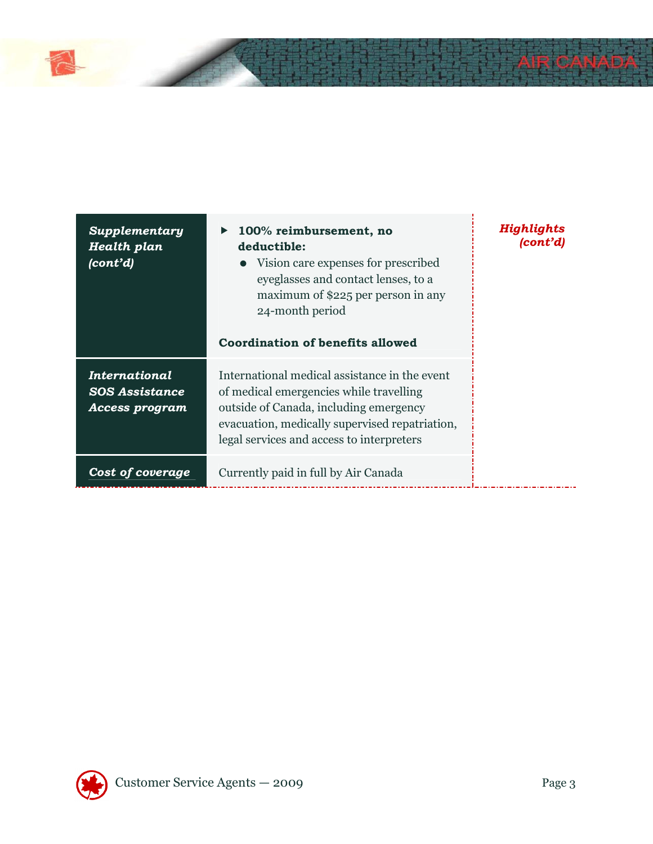| <b>Supplementary</b><br>Health plan<br>$\langle \textit{cont'}d \rangle$ | 100% reimbursement, no<br>$\blacktriangleright$<br>deductible:<br>• Vision care expenses for prescribed<br>eyeglasses and contact lenses, to a<br>maximum of \$225 per person in any<br>24-month period<br><b>Coordination of benefits allowed</b> | Highlights<br>(cont'd) |
|--------------------------------------------------------------------------|----------------------------------------------------------------------------------------------------------------------------------------------------------------------------------------------------------------------------------------------------|------------------------|
| <b>International</b><br><b>SOS Assistance</b><br><b>Access program</b>   | International medical assistance in the event<br>of medical emergencies while travelling<br>outside of Canada, including emergency<br>evacuation, medically supervised repatriation,<br>legal services and access to interpreters                  |                        |
| <b>Cost of coverage</b>                                                  | Currently paid in full by Air Canada                                                                                                                                                                                                               |                        |

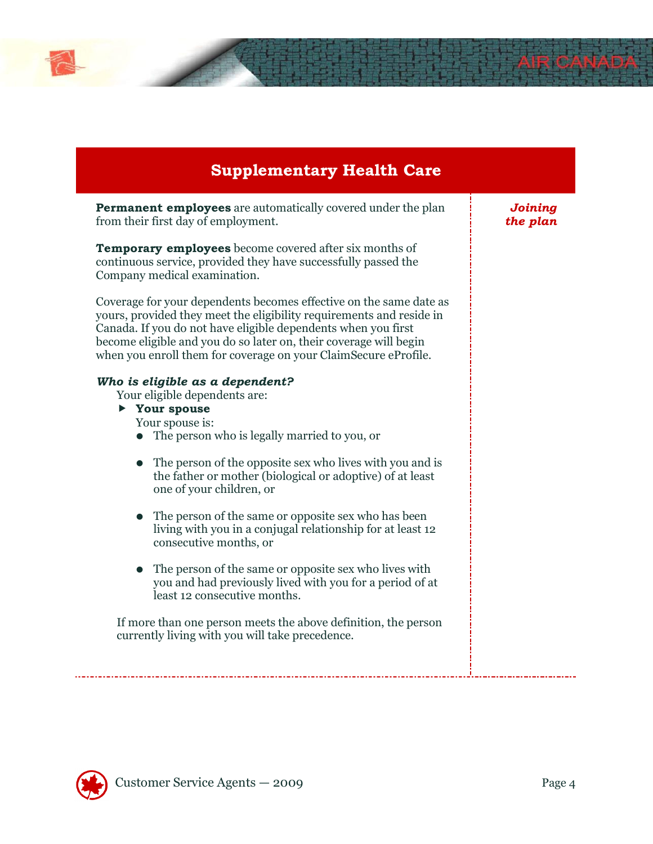## Supplementary Health Care

**Permanent employees** are automatically covered under the plan from their first day of employment.

**Temporary employees** become covered after six months of continuous service, provided they have successfully passed the Company medical examination.

Coverage for your dependents becomes effective on the same date as yours, provided they meet the eligibility requirements and reside in Canada. If you do not have eligible dependents when you first become eligible and you do so later on, their coverage will begin when you enroll them for coverage on your ClaimSecure eProfile.

#### Who is eligible as a dependent?

Your eligible dependents are:

▶ Your spouse

Your spouse is:

- The person who is legally married to you, or
- The person of the opposite sex who lives with you and is the father or mother (biological or adoptive) of at least one of your children, or
- The person of the same or opposite sex who has been living with you in a conjugal relationship for at least 12 consecutive months, or
- The person of the same or opposite sex who lives with you and had previously lived with you for a period of at least 12 consecutive months.

If more than one person meets the above definition, the person currently living with you will take precedence.

Joining the plan

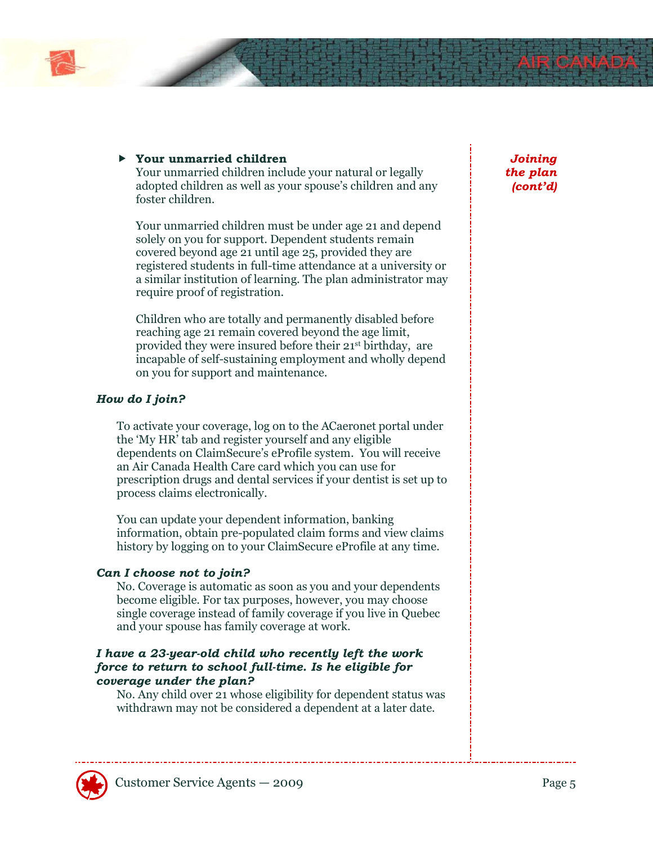#### Your unmarried children

Your unmarried children include your natural or legally adopted children as well as your spouse's children and any foster children.

Your unmarried children must be under age 21 and depend solely on you for support. Dependent students remain covered beyond age 21 until age 25, provided they are registered students in full-time attendance at a university or a similar institution of learning. The plan administrator may require proof of registration.

Children who are totally and permanently disabled before reaching age 21 remain covered beyond the age limit, provided they were insured before their 21st birthday, are incapable of self-sustaining employment and wholly depend on you for support and maintenance.

#### How do I join?

To activate your coverage, log on to the ACaeronet portal under the 'My HR' tab and register yourself and any eligible dependents on ClaimSecure's eProfile system. You will receive an Air Canada Health Care card which you can use for prescription drugs and dental services if your dentist is set up to process claims electronically.

You can update your dependent information, banking information, obtain pre-populated claim forms and view claims history by logging on to your ClaimSecure eProfile at any time.

#### Can I choose not to join?

No. Coverage is automatic as soon as you and your dependents become eligible. For tax purposes, however, you may choose single coverage instead of family coverage if you live in Quebec and your spouse has family coverage at work.

#### I have a 23-year-old child who recently left the work force to return to school full-time. Is he eligible for coverage under the plan?

No. Any child over 21 whose eligibility for dependent status was withdrawn may not be considered a dependent at a later date.

Joining the plan (cont'd)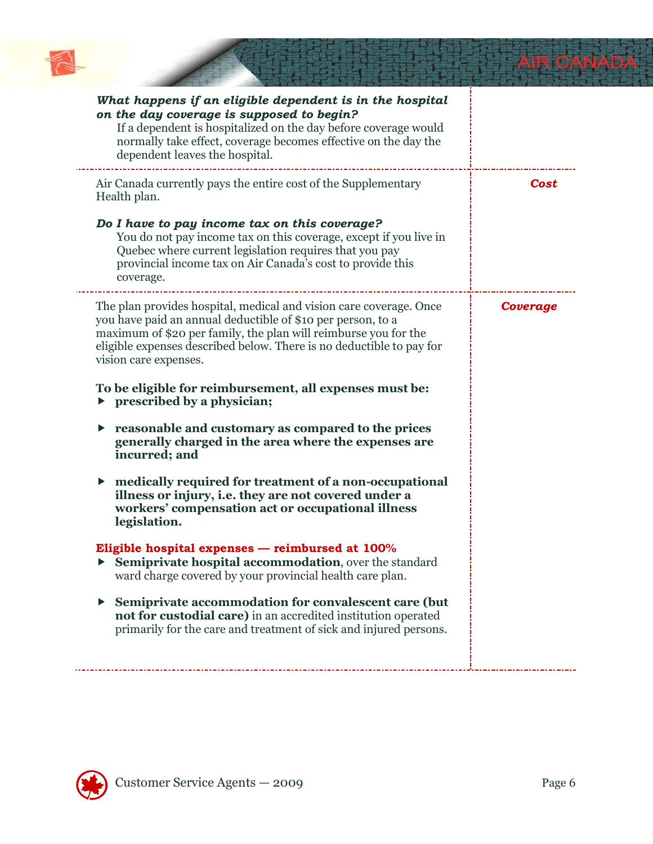

| What happens if an eligible dependent is in the hospital<br>on the day coverage is supposed to begin?<br>If a dependent is hospitalized on the day before coverage would<br>normally take effect, coverage becomes effective on the day the<br>dependent leaves the hospital.                         |          |
|-------------------------------------------------------------------------------------------------------------------------------------------------------------------------------------------------------------------------------------------------------------------------------------------------------|----------|
| Air Canada currently pays the entire cost of the Supplementary<br>Health plan.                                                                                                                                                                                                                        | Cost     |
| Do I have to pay income tax on this coverage?<br>You do not pay income tax on this coverage, except if you live in<br>Quebec where current legislation requires that you pay<br>provincial income tax on Air Canada's cost to provide this<br>coverage.                                               |          |
| The plan provides hospital, medical and vision care coverage. Once<br>you have paid an annual deductible of \$10 per person, to a<br>maximum of \$20 per family, the plan will reimburse you for the<br>eligible expenses described below. There is no deductible to pay for<br>vision care expenses. | Coverage |
| To be eligible for reimbursement, all expenses must be:<br>$\triangleright$ prescribed by a physician;                                                                                                                                                                                                |          |
| reasonable and customary as compared to the prices<br>generally charged in the area where the expenses are<br>incurred; and                                                                                                                                                                           |          |
| medically required for treatment of a non-occupational<br>▶<br>illness or injury, i.e. they are not covered under a<br>workers' compensation act or occupational illness<br>legislation.                                                                                                              |          |
| Eligible hospital expenses — reimbursed at 100%<br>Semiprivate hospital accommodation, over the standard<br>ward charge covered by your provincial health care plan.                                                                                                                                  |          |
| Semiprivate accommodation for convalescent care (but<br>not for custodial care) in an accredited institution operated<br>primarily for the care and treatment of sick and injured persons.                                                                                                            |          |
|                                                                                                                                                                                                                                                                                                       |          |

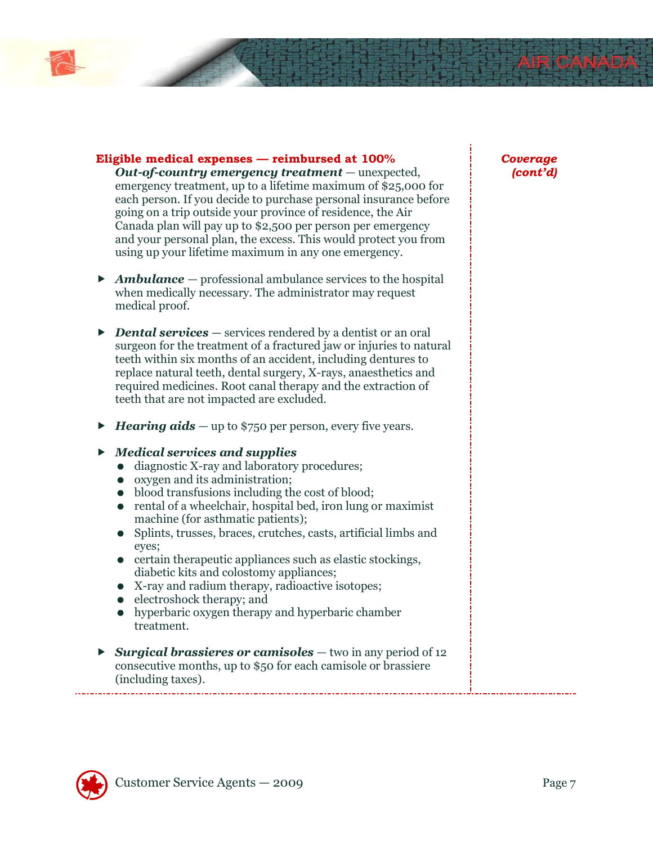

#### Eligible medical expenses — reimbursed at 100%

Out-of-country emergency treatment — unexpected, emergency treatment, up to a lifetime maximum of \$25,000 for each person. If you decide to purchase personal insurance before going on a trip outside your province of residence, the Air Canada plan will pay up to \$2,500 per person per emergency and your personal plan, the excess. This would protect you from using up your lifetime maximum in any one emergency.

- $\blacktriangleright$  **Ambulance** professional ambulance services to the hospital when medically necessary. The administrator may request medical proof.
- $\triangleright$  **Dental services** services rendered by a dentist or an oral surgeon for the treatment of a fractured jaw or injuries to natural teeth within six months of an accident, including dentures to replace natural teeth, dental surgery, X-rays, anaesthetics and required medicines. Root canal therapy and the extraction of teeth that are not impacted are excluded.
- $\blacktriangleright$  **Hearing aids** up to \$750 per person, every five years.

#### ▶ Medical services and supplies

- diagnostic X-ray and laboratory procedures;
- oxygen and its administration;
- blood transfusions including the cost of blood;
- rental of a wheelchair, hospital bed, iron lung or maximist machine (for asthmatic patients);
- Splints, trusses, braces, crutches, casts, artificial limbs and eyes;
- $\bullet$  certain therapeutic appliances such as elastic stockings, diabetic kits and colostomy appliances;
- X-ray and radium therapy, radioactive isotopes;
- electroshock therapy; and
- hyperbaric oxygen therapy and hyperbaric chamber treatment.
- Surgical brassieres or camisoles  $-$  two in any period of 12 consecutive months, up to \$50 for each camisole or brassiere (including taxes).

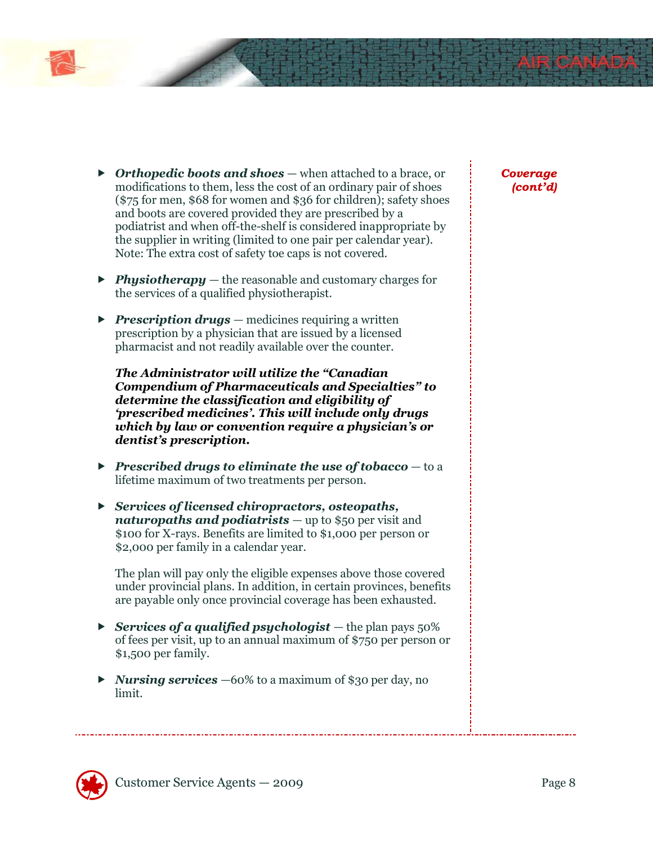- $\triangleright$  Orthopedic boots and shoes when attached to a brace, or modifications to them, less the cost of an ordinary pair of shoes (\$75 for men, \$68 for women and \$36 for children); safety shoes and boots are covered provided they are prescribed by a podiatrist and when off-the-shelf is considered inappropriate by the supplier in writing (limited to one pair per calendar year). Note: The extra cost of safety toe caps is not covered.
- $\triangleright$  **Physiotherapy** the reasonable and customary charges for the services of a qualified physiotherapist.
- **Prescription drugs** medicines requiring a written prescription by a physician that are issued by a licensed pharmacist and not readily available over the counter.

The Administrator will utilize the "Canadian Compendium of Pharmaceuticals and Specialties" to determine the classification and eligibility of 'prescribed medicines'. This will include only drugs which by law or convention require a physician's or dentist's prescription.

- **Prescribed drugs to eliminate the use of tobacco**  $-$  to a lifetime maximum of two treatments per person.
- ▶ Services of licensed chiropractors, osteopaths, naturopaths and podiatrists  $-$  up to \$50 per visit and \$100 for X-rays. Benefits are limited to \$1,000 per person or \$2,000 per family in a calendar year.

The plan will pay only the eligible expenses above those covered under provincial plans. In addition, in certain provinces, benefits are payable only once provincial coverage has been exhausted.

- Services of a qualified psychologist the plan pays  $50\%$ of fees per visit, up to an annual maximum of \$750 per person or \$1,500 per family.
- $\triangleright$  **Nursing services**  $-60\%$  to a maximum of \$30 per day, no limit.

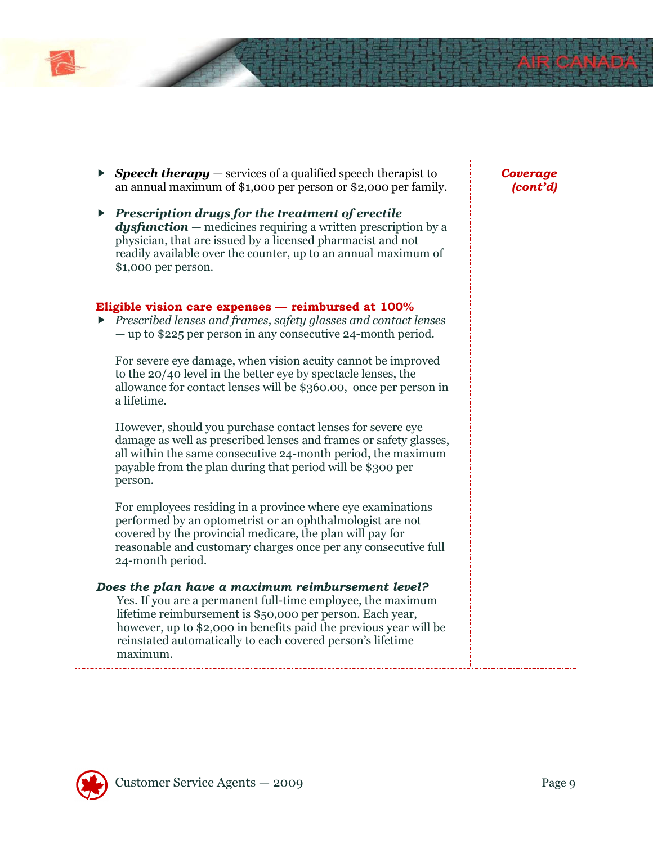- **Speech therapy** services of a qualified speech therapist to an annual maximum of \$1,000 per person or \$2,000 per family.
- $\blacktriangleright$  Prescription drugs for the treatment of erectile **dysfunction**  $-$  medicines requiring a written prescription by a physician, that are issued by a licensed pharmacist and not readily available over the counter, up to an annual maximum of \$1,000 per person.

#### Eligible vision care expenses — reimbursed at 100%

▶ Prescribed lenses and frames, safety glasses and contact lenses — up to \$225 per person in any consecutive 24-month period.

For severe eye damage, when vision acuity cannot be improved to the 20/40 level in the better eye by spectacle lenses, the allowance for contact lenses will be \$360.00, once per person in a lifetime.

However, should you purchase contact lenses for severe eye damage as well as prescribed lenses and frames or safety glasses, all within the same consecutive 24-month period, the maximum payable from the plan during that period will be \$300 per person.

For employees residing in a province where eye examinations performed by an optometrist or an ophthalmologist are not covered by the provincial medicare, the plan will pay for reasonable and customary charges once per any consecutive full 24-month period.

#### Does the plan have a maximum reimbursement level?

Yes. If you are a permanent full-time employee, the maximum lifetime reimbursement is \$50,000 per person. Each year, however, up to \$2,000 in benefits paid the previous year will be reinstated automatically to each covered person's lifetime maximum.

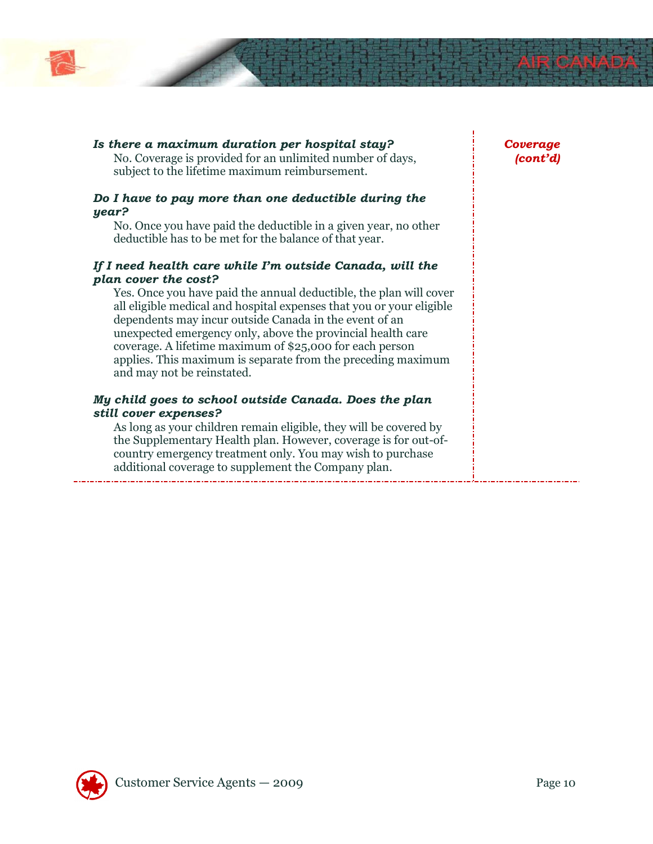

#### Is there a maximum duration per hospital stay?

No. Coverage is provided for an unlimited number of days, subject to the lifetime maximum reimbursement.

#### Do I have to pay more than one deductible during the year?

No. Once you have paid the deductible in a given year, no other deductible has to be met for the balance of that year.

#### If I need health care while I'm outside Canada, will the plan cover the cost?

Yes. Once you have paid the annual deductible, the plan will cover all eligible medical and hospital expenses that you or your eligible dependents may incur outside Canada in the event of an unexpected emergency only, above the provincial health care coverage. A lifetime maximum of \$25,000 for each person applies. This maximum is separate from the preceding maximum and may not be reinstated.

#### My child goes to school outside Canada. Does the plan still cover expenses?

As long as your children remain eligible, they will be covered by the Supplementary Health plan. However, coverage is for out-ofcountry emergency treatment only. You may wish to purchase additional coverage to supplement the Company plan.

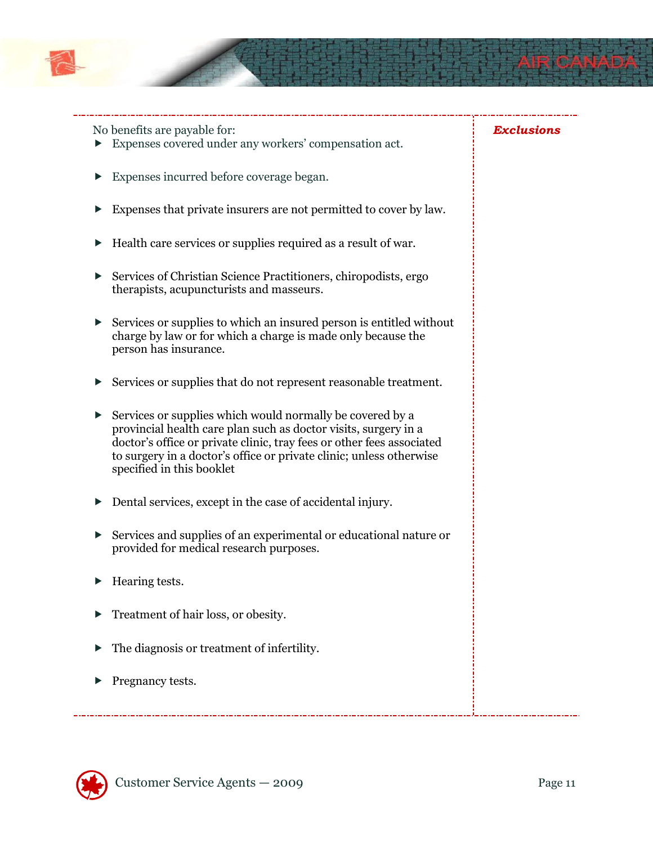

No benefits are payable for:

- Expenses covered under any workers' compensation act.
- Expenses incurred before coverage began.
- Expenses that private insurers are not permitted to cover by law.
- ▶ Health care services or supplies required as a result of war.
- ▶ Services of Christian Science Practitioners, chiropodists, ergo therapists, acupuncturists and masseurs.
- $\triangleright$  Services or supplies to which an insured person is entitled without charge by law or for which a charge is made only because the person has insurance.
- ▶ Services or supplies that do not represent reasonable treatment.
- $\triangleright$  Services or supplies which would normally be covered by a provincial health care plan such as doctor visits, surgery in a doctor's office or private clinic, tray fees or other fees associated to surgery in a doctor's office or private clinic; unless otherwise specified in this booklet
- Dental services, except in the case of accidental injury.
- Services and supplies of an experimental or educational nature or provided for medical research purposes.
- $\blacktriangleright$  Hearing tests.
- **F** Treatment of hair loss, or obesity.
- $\blacktriangleright$  The diagnosis or treatment of infertility.
- $\blacktriangleright$  Pregnancy tests.



Exclusions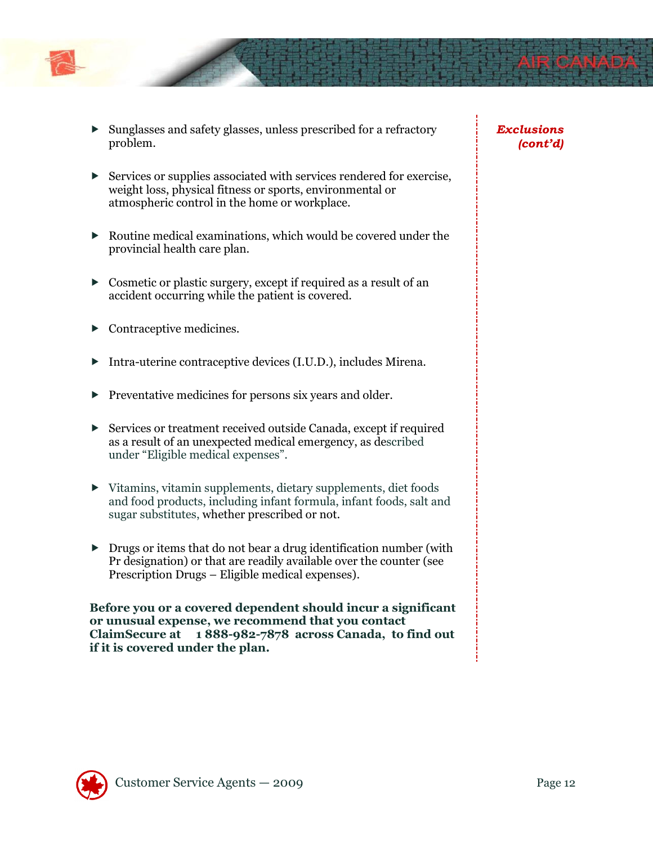

- Sunglasses and safety glasses, unless prescribed for a refractory problem.
- Services or supplies associated with services rendered for exercise, weight loss, physical fitness or sports, environmental or atmospheric control in the home or workplace.
- $\triangleright$  Routine medical examinations, which would be covered under the provincial health care plan.
- Cosmetic or plastic surgery, except if required as a result of an accident occurring while the patient is covered.
- Contraceptive medicines.
- Intra-uterine contraceptive devices (I.U.D.), includes Mirena.
- **Preventative medicines for persons six years and older.**
- Services or treatment received outside Canada, except if required as a result of an unexpected medical emergency, as described under "Eligible medical expenses".
- Vitamins, vitamin supplements, dietary supplements, diet foods and food products, including infant formula, infant foods, salt and sugar substitutes, whether prescribed or not.
- **Drugs or items that do not bear a drug identification number (with** Pr designation) or that are readily available over the counter (see Prescription Drugs – Eligible medical expenses).

Before you or a covered dependent should incur a significant or unusual expense, we recommend that you contact ClaimSecure at 1 888-982-7878 across Canada, to find out if it is covered under the plan.

Exclusions (cont'd)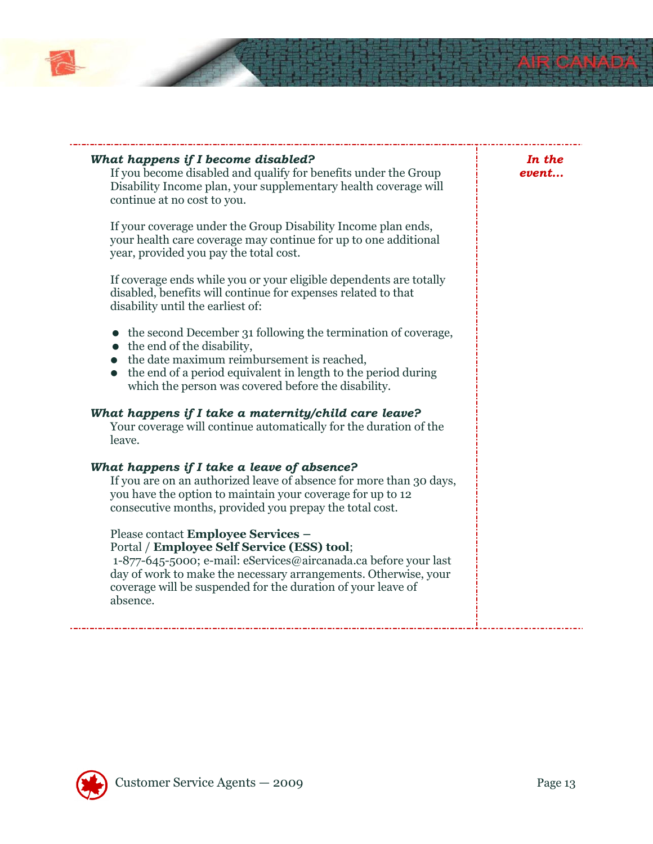

| What happens if I become disabled?<br>If you become disabled and qualify for benefits under the Group<br>Disability Income plan, your supplementary health coverage will<br>continue at no cost to you.<br>If your coverage under the Group Disability Income plan ends,<br>your health care coverage may continue for up to one additional<br>year, provided you pay the total cost. | In the<br>event |
|---------------------------------------------------------------------------------------------------------------------------------------------------------------------------------------------------------------------------------------------------------------------------------------------------------------------------------------------------------------------------------------|-----------------|
| If coverage ends while you or your eligible dependents are totally<br>disabled, benefits will continue for expenses related to that<br>disability until the earliest of:                                                                                                                                                                                                              |                 |
| • the second December 31 following the termination of coverage,<br>$\bullet$ the end of the disability,<br>the date maximum reimbursement is reached,<br>the end of a period equivalent in length to the period during<br>which the person was covered before the disability.                                                                                                         |                 |
| What happens if I take a maternity/child care leave?<br>Your coverage will continue automatically for the duration of the<br>leave.                                                                                                                                                                                                                                                   |                 |
| What happens if I take a leave of absence?<br>If you are on an authorized leave of absence for more than 30 days,<br>you have the option to maintain your coverage for up to 12<br>consecutive months, provided you prepay the total cost.                                                                                                                                            |                 |
| Please contact Employee Services -<br>Portal / Employee Self Service (ESS) tool;<br>1-877-645-5000; e-mail: eServices@aircanada.ca before your last<br>day of work to make the necessary arrangements. Otherwise, your<br>coverage will be suspended for the duration of your leave of<br>absence.                                                                                    |                 |



 $\overline{a}$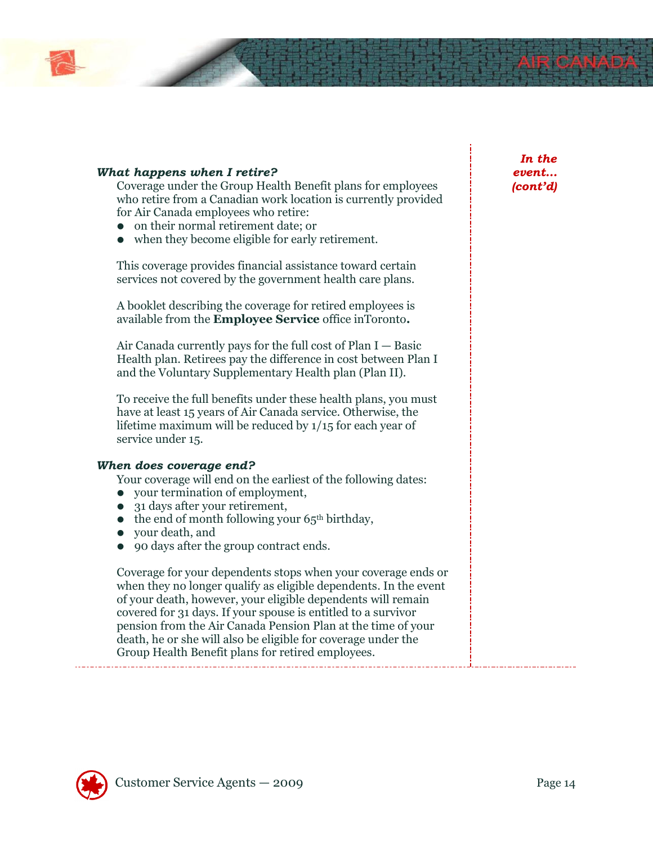#### What happens when I retire?

Coverage under the Group Health Benefit plans for employees who retire from a Canadian work location is currently provided for Air Canada employees who retire:

- on their normal retirement date; or
- when they become eligible for early retirement.

This coverage provides financial assistance toward certain services not covered by the government health care plans.

A booklet describing the coverage for retired employees is available from the Employee Service office inToronto.

Air Canada currently pays for the full cost of Plan  $I -$  Basic Health plan. Retirees pay the difference in cost between Plan I and the Voluntary Supplementary Health plan (Plan II).

To receive the full benefits under these health plans, you must have at least 15 years of Air Canada service. Otherwise, the lifetime maximum will be reduced by 1/15 for each year of service under 15.

#### When does coverage end?

Your coverage will end on the earliest of the following dates:

- your termination of employment,
- 31 days after your retirement,
- $\bullet$  the end of month following your 65<sup>th</sup> birthday,
- your death, and
- 90 days after the group contract ends.

Coverage for your dependents stops when your coverage ends or when they no longer qualify as eligible dependents. In the event of your death, however, your eligible dependents will remain covered for 31 days. If your spouse is entitled to a survivor pension from the Air Canada Pension Plan at the time of your death, he or she will also be eligible for coverage under the Group Health Benefit plans for retired employees.

In the event… (cont'd)

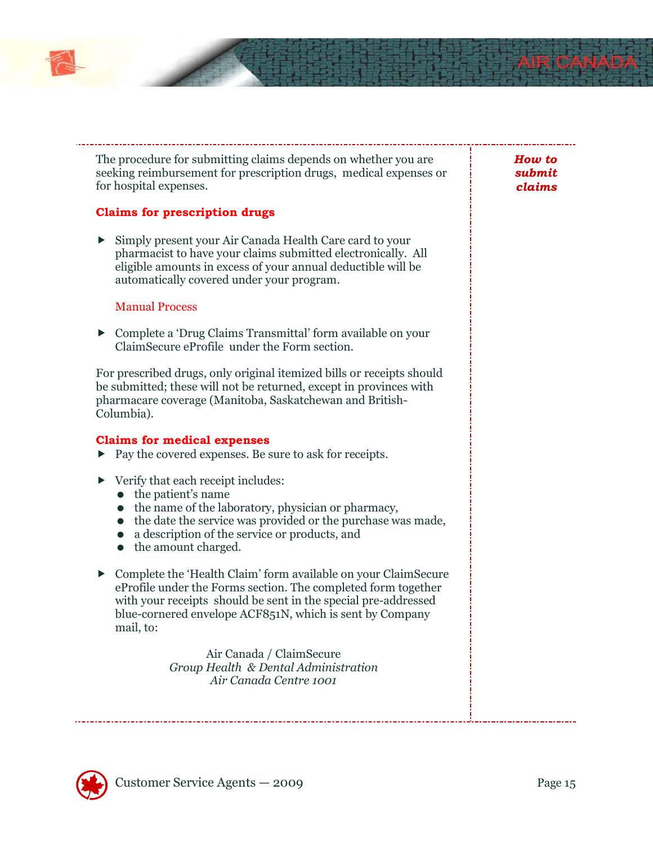The procedure for submitting claims depends on whether you are seeking reimbursement for prescription drugs, medical expenses or for hospital expenses.

#### Claims for prescription drugs

 Simply present your Air Canada Health Care card to your pharmacist to have your claims submitted electronically. All eligible amounts in excess of your annual deductible will be automatically covered under your program.

#### Manual Process

 Complete a 'Drug Claims Transmittal' form available on your ClaimSecure eProfile under the Form section.

For prescribed drugs, only original itemized bills or receipts should be submitted; these will not be returned, except in provinces with pharmacare coverage (Manitoba, Saskatchewan and British-Columbia).

#### Claims for medical expenses

- ▶ Pay the covered expenses. Be sure to ask for receipts.
- ▶ Verify that each receipt includes:
	- $\bullet$  the patient's name
	- the name of the laboratory, physician or pharmacy,
	- the date the service was provided or the purchase was made,
	- a description of the service or products, and
	- the amount charged.
- Complete the 'Health Claim' form available on your ClaimSecure eProfile under the Forms section. The completed form together with your receipts should be sent in the special pre-addressed blue-cornered envelope ACF851N, which is sent by Company mail, to:

Air Canada / ClaimSecure Group Health & Dental Administration Air Canada Centre 1001



How to submit claims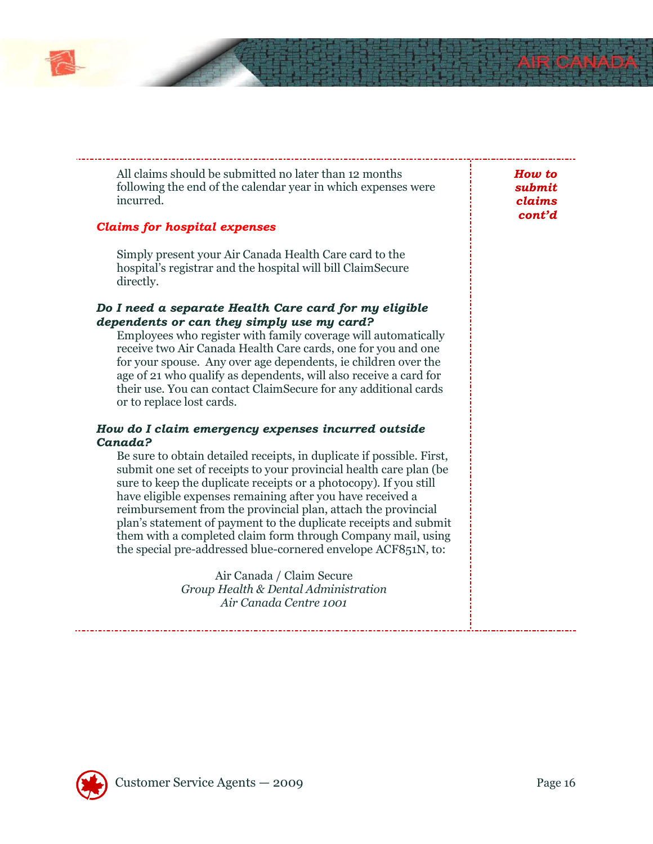

#### Claims for hospital expenses

Simply present your Air Canada Health Care card to the hospital's registrar and the hospital will bill ClaimSecure directly.

#### Do I need a separate Health Care card for my eligible dependents or can they simply use my card?

Employees who register with family coverage will automatically receive two Air Canada Health Care cards, one for you and one for your spouse. Any over age dependents, ie children over the age of 21 who qualify as dependents, will also receive a card for their use. You can contact ClaimSecure for any additional cards or to replace lost cards.

#### How do I claim emergency expenses incurred outside Canada?

Be sure to obtain detailed receipts, in duplicate if possible. First, submit one set of receipts to your provincial health care plan (be sure to keep the duplicate receipts or a photocopy). If you still have eligible expenses remaining after you have received a reimbursement from the provincial plan, attach the provincial plan's statement of payment to the duplicate receipts and submit them with a completed claim form through Company mail, using the special pre-addressed blue-cornered envelope ACF851N, to:

> Air Canada / Claim Secure Group Health & Dental Administration Air Canada Centre 1001

How to submit claims cont'd

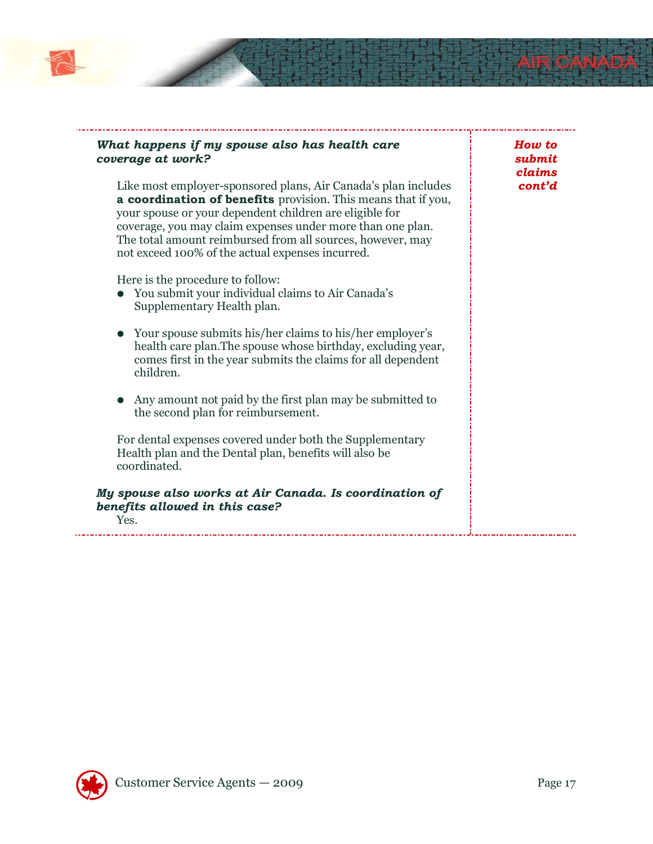

#### What happens if my spouse also has health care coverage at work?

Like most employer-sponsored plans, Air Canada's plan includes a coordination of benefits provision. This means that if you, your spouse or your dependent children are eligible for coverage, you may claim expenses under more than one plan. The total amount reimbursed from all sources, however, may not exceed 100% of the actual expenses incurred.

Here is the procedure to follow:

- You submit your individual claims to Air Canada's Supplementary Health plan.
- Your spouse submits his/her claims to his/her employer's health care plan.The spouse whose birthday, excluding year, comes first in the year submits the claims for all dependent children.
- Any amount not paid by the first plan may be submitted to the second plan for reimbursement.

For dental expenses covered under both the Supplementary Health plan and the Dental plan, benefits will also be coordinated.

#### My spouse also works at Air Canada. Is coordination of benefits allowed in this case? Yes.

How to submit claims cont'd

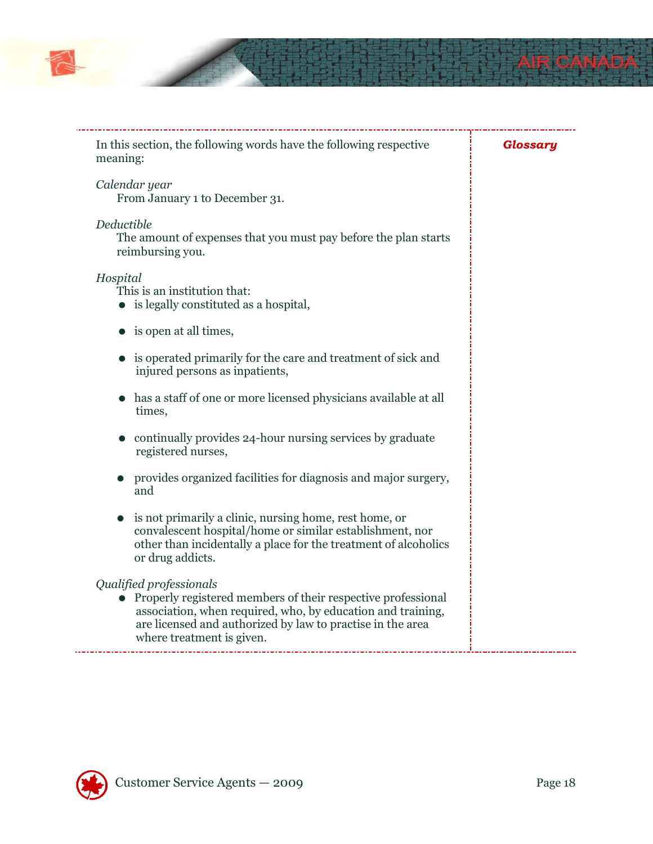

| In this section, the following words have the following respective<br>meaning:                                                                                                                                                                    | Glossary |
|---------------------------------------------------------------------------------------------------------------------------------------------------------------------------------------------------------------------------------------------------|----------|
| Calendar year<br>From January 1 to December 31.                                                                                                                                                                                                   |          |
| Deductible<br>The amount of expenses that you must pay before the plan starts<br>reimbursing you.                                                                                                                                                 |          |
| Hospital<br>This is an institution that:<br>$\bullet$ is legally constituted as a hospital,                                                                                                                                                       |          |
| is open at all times,                                                                                                                                                                                                                             |          |
| is operated primarily for the care and treatment of sick and<br>injured persons as inpatients,                                                                                                                                                    |          |
| has a staff of one or more licensed physicians available at all<br>times,                                                                                                                                                                         |          |
| continually provides 24-hour nursing services by graduate<br>registered nurses,                                                                                                                                                                   |          |
| provides organized facilities for diagnosis and major surgery,<br>and                                                                                                                                                                             |          |
| is not primarily a clinic, nursing home, rest home, or<br>convalescent hospital/home or similar establishment, nor<br>other than incidentally a place for the treatment of alcoholics<br>or drug addicts.                                         |          |
| Qualified professionals<br>Properly registered members of their respective professional<br>association, when required, who, by education and training,<br>are licensed and authorized by law to practise in the area<br>where treatment is given. |          |

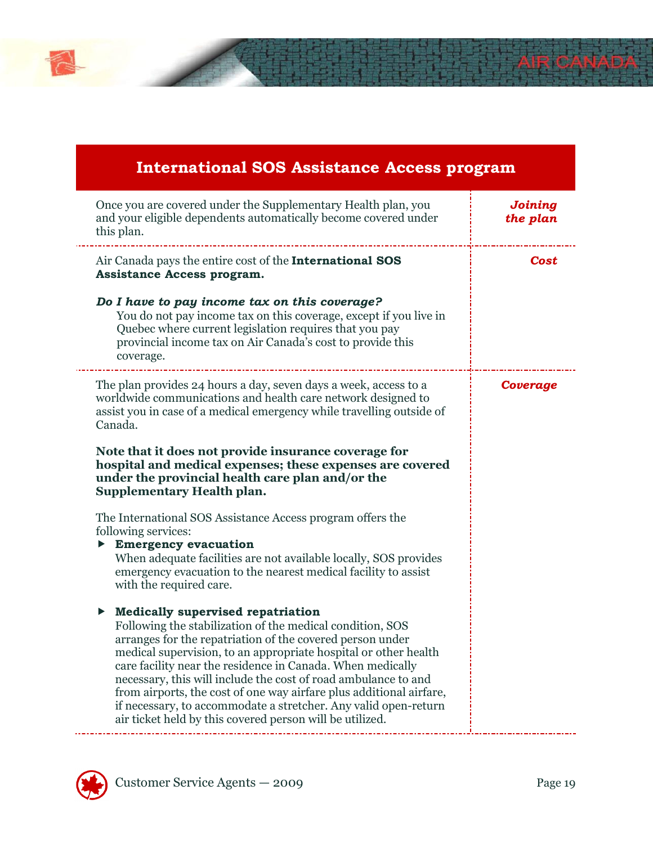### International SOS Assistance Access program Once you are covered under the Supplementary Health plan, you and your eligible dependents automatically become covered under this plan. Joining the plan Air Canada pays the entire cost of the **International SOS** Assistance Access program. Do I have to pay income tax on this coverage? You do not pay income tax on this coverage, except if you live in Quebec where current legislation requires that you pay provincial income tax on Air Canada's cost to provide this coverage. Cost The plan provides 24 hours a day, seven days a week, access to a worldwide communications and health care network designed to assist you in case of a medical emergency while travelling outside of Canada. Note that it does not provide insurance coverage for hospital and medical expenses; these expenses are covered under the provincial health care plan and/or the Supplementary Health plan. The International SOS Assistance Access program offers the following services: Emergency evacuation When adequate facilities are not available locally, SOS provides emergency evacuation to the nearest medical facility to assist with the required care.  $\blacktriangleright$  Medically supervised repatriation Following the stabilization of the medical condition, SOS arranges for the repatriation of the covered person under medical supervision, to an appropriate hospital or other health care facility near the residence in Canada. When medically necessary, this will include the cost of road ambulance to and from airports, the cost of one way airfare plus additional airfare, if necessary, to accommodate a stretcher. Any valid open-return air ticket held by this covered person will be utilized. Coverage

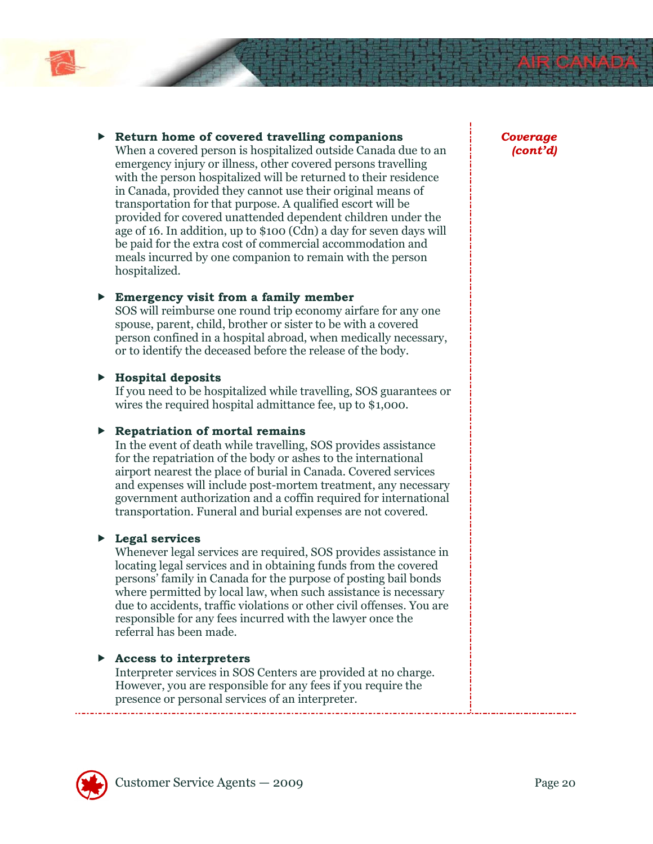

#### $\triangleright$  Return home of covered travelling companions

When a covered person is hospitalized outside Canada due to an emergency injury or illness, other covered persons travelling with the person hospitalized will be returned to their residence in Canada, provided they cannot use their original means of transportation for that purpose. A qualified escort will be provided for covered unattended dependent children under the age of 16. In addition, up to \$100 (Cdn) a day for seven days will be paid for the extra cost of commercial accommodation and meals incurred by one companion to remain with the person hospitalized.

#### Emergency visit from a family member

SOS will reimburse one round trip economy airfare for any one spouse, parent, child, brother or sister to be with a covered person confined in a hospital abroad, when medically necessary, or to identify the deceased before the release of the body.

#### $\blacktriangleright$  Hospital deposits

If you need to be hospitalized while travelling, SOS guarantees or wires the required hospital admittance fee, up to \$1,000.

#### $\blacktriangleright$  Repatriation of mortal remains

In the event of death while travelling, SOS provides assistance for the repatriation of the body or ashes to the international airport nearest the place of burial in Canada. Covered services and expenses will include post-mortem treatment, any necessary government authorization and a coffin required for international transportation. Funeral and burial expenses are not covered.

#### **Legal services**

Whenever legal services are required, SOS provides assistance in locating legal services and in obtaining funds from the covered persons' family in Canada for the purpose of posting bail bonds where permitted by local law, when such assistance is necessary due to accidents, traffic violations or other civil offenses. You are responsible for any fees incurred with the lawyer once the referral has been made.

#### $\blacktriangleright$  Access to interpreters

Interpreter services in SOS Centers are provided at no charge. However, you are responsible for any fees if you require the presence or personal services of an interpreter.